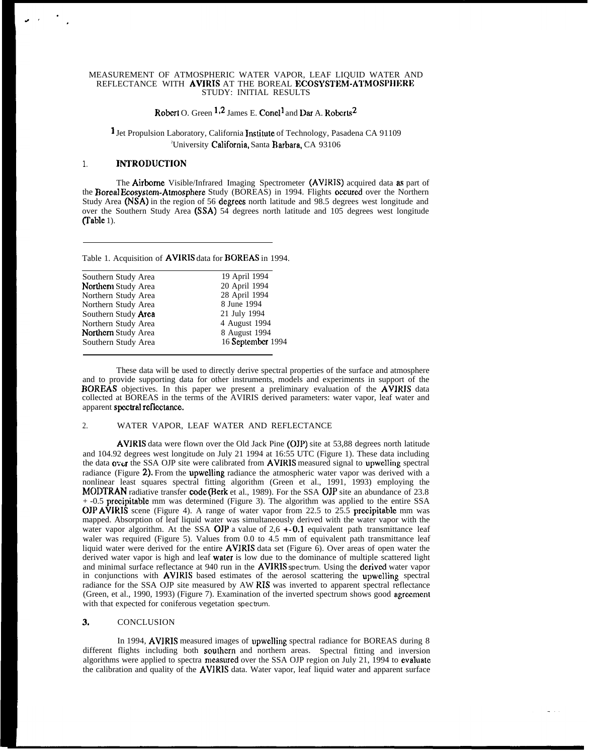#### MEASUREMENT OF ATMOSPHERIC WATER VAPOR, LEAF LIQUID WATER AND REFLECTANCE WITH AVIRIS AT THE BOREAL ECOSYSTEM-ATMOSPHERE STUDY: INITIAL RESULTS

# Robert O. Green 1.2 James E. Conel<sup>1</sup> and Dar A. Roberts<sup>2</sup>

## 1 Jet Propulsion Laboratory, California Institute of Technology, Pasadena CA 91109 <sup>2</sup>University California, Santa Barbara, CA 93106

## 1. INTRODUCTION

The Airborne Visible/Infrared Imaging Spectrometer (AVIRIS) acquired data as part of the Boreal Ecosystem-Atmosphere Study (BOREAS) in 1994. Flights occured over the Northern Study Area (NSA) in the region of 56 degrees north latitude and 98.5 degrees west longitude and over the Southern Study Area (SSA) 54 degrees north latitude and 105 degrees west longitude (Table 1).

Table 1. Acquisition of **AVIRIS** data for **BOREAS** in 1994.

| Southern Study Area        | 19 April 1994     |
|----------------------------|-------------------|
| <b>Northem</b> Study Area  | 20 April 1994     |
| Northern Study Area        | 28 April 1994     |
| Northern Study Area        | 8 June 1994       |
| Southern Study Area        | 21 July 1994      |
| Northern Study Area        | 4 August 1994     |
| <b>Northern</b> Study Area | 8 August 1994     |
| Southern Study Area        | 16 September 1994 |
|                            |                   |

These data will be used to directly derive spectral properties of the surface and atmosphere and to provide supporting data for other instruments, models and experiments in support of the BOREAS objectives. In this paper we present a preliminary evaluation of the AVIRIS data collected at BOREAS in the terms of the AVIRIS derived parameters: water vapor, leaf water and apparent spectral reflectance.

### 2. WATER VAPOR, LEAF WATER AND REFLECTANCE

AVJRIS data were flown over the Old Jack Pine (OJP) site at 53,88 degrees north latitude and 104.92 degrees west longitude on July 21 1994 at 16:55 UTC (Figure 1). These data including the data over the SSA OJP site were calibrated from AVIRIS measured signal to upwelling spectral radiance (Figure 2). From the upwelling radiance the atmospheric water vapor was derived with a nonlinear least squares spectral fitting algorithm (Green et al., 1991, 1993) employing the MODTRAN radiative transfer code (Berk et al., 1989). For the SSA OJP site an abundance of 23.8 + -0.5 precipitable mm was determined (Figure 3). The algorithm was applied to the entire SSA **OJP AVIRIS** scene (Figure 4). A range of water vapor from 22.5 to 25.5 precipitable mm was mapped. Absorption of leaf liquid water was simultaneously derived with the water vapor with the water vapor algorithm. At the SSA OJP a value of  $2.6 + 0.1$  equivalent path transmittance leaf waler was required (Figure 5). Values from 0.0 to 4.5 mm of equivalent path transmittance leaf liquid water were derived for the entire AVIRIS data set (Figure 6). Over areas of open water the derived water vapor is high and leaf water is low due to the dominance of multiple scattered light and minimal surface reflectance at 940 run in the AVIRIS spectrum. Using the derived water vapor in conjunctions with AWRIS based estimates of the aerosol scattering the upwclling spectral radiance for the SSA OJP site measured by AW RIS was inverted to apparent spectral reflectance (Green, et al., 1990, 1993) (Figure 7). Examination of the inverted spectrum shows good agreement with that expected for coniferous vegetation spectrum.

#### 3, CONCLUSION

In 1994, AVIRIS measured images of upwelling spectral radiance for BOREAS during 8 different flights including both **southern** and northern areas. Spectral fitting and inversion algorithms were applied to spectra measured over the SSA OJP region on July 21, 1994 to evaluate the calibration and quality of the AVJRIS data. Water vapor, leaf liquid water and apparent surface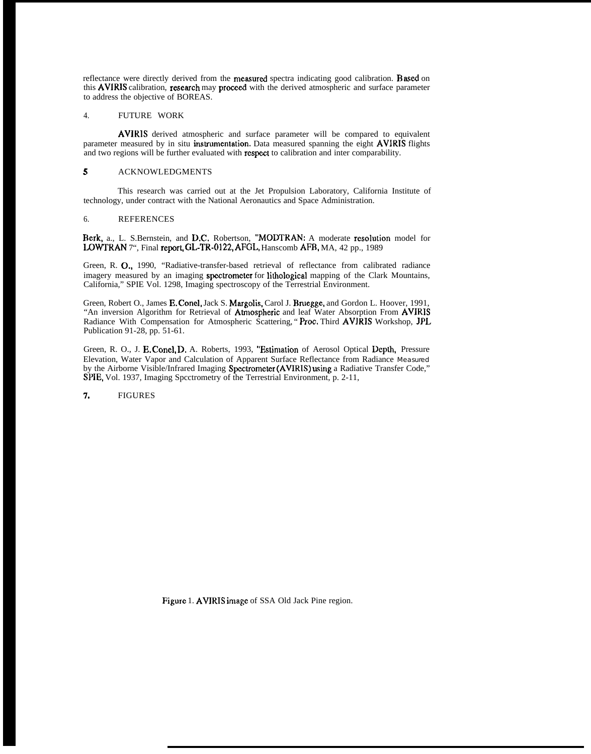reflectance were directly derived from the measured spectra indicating good calibration. Based on this AVIRIS calibration, research may proceed with the derived atmospheric and surface parameter to address the objective of BOREAS.

## 4. FUTURE WORK

AVIRIS derived atmospheric and surface parameter will be compared to equivalent parameter measured by in situ instrumentation. Data measured spanning the eight AVIRIS flights and two regions will be further evaluated with respczt to calibration and inter comparability.

#### **s** ACKNOWLEDGMENTS

This research was carried out at the Jet Propulsion Laboratory, California Institute of technology, under contract with the National Aeronautics and Space Administration.

#### 6. REFERENCES

Berk, a., L. S.Bernstein, and D.C. Robertson, "MODTRAN: A moderate resolution model for LOWTRAN 7", Final report, GL-TR-0122, AFGL, Hanscomb AFB, MA, 42 pp., 1989

Green, R. O,, 1990, "Radiative-transfer-based retrieval of reflectance from calibrated radiance imagery measured by an imaging spectrometer for lithological mapping of the Clark Mountains, California," SPIE Vol. 1298, Imaging spectroscopy of the Terrestrial Environment.

Green, Robert O., James E. Conel, Jack S. Margolis, Carol J. Bmegge, and Gordon L. Hoover, 1991, "An inversion Algorithm for Retrieval of Atmospheric and leaf Water Absorption From AVIRIS Radiance With Compensation for Atmospheric Scattering, "Proc. Third AVIRIS Workshop, JPL Publication 91-28, pp. 51-61.

Green, R. O., J. E. Conel, D. A. Roberts, 1993, "Estimation of Aerosol Optical Depth, Pressure Elevation, Water Vapor and Calculation of Apparent Surface Reflectance from Radiance Measured by the Airborne Visible/Infrared Imaging Spectrometer (AVIRIS) using a Radiative Transfer Code," SPIE, Vol. 1937, Imaging Spcctrometry of the Terrestrial Environment, p. 2-11,

## 7. FIGURES

Figure 1. AVIRIS image of SSA Old Jack Pine region.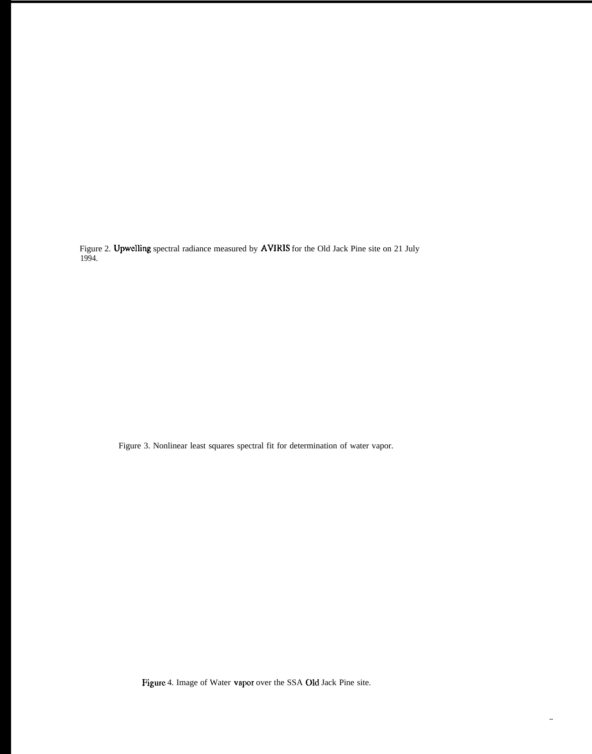Figure 2. Upwelling spectral radiance measured by AVIRIS for the Old Jack Pine site on 21 July 1994.

Figure 3. Nonlinear least squares spectral fit for determination of water vapor.

Figure 4. Image of Water vapor over the SSA Old Jack Pine site.

,.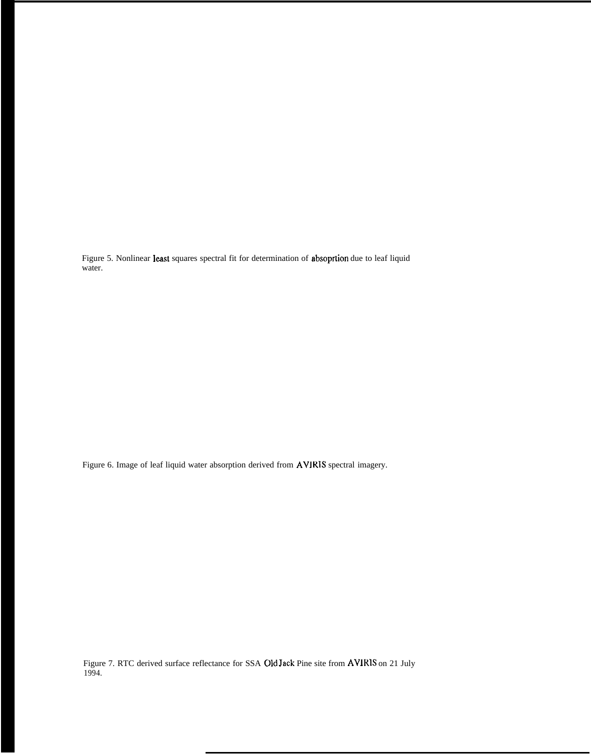Figure 5. Nonlinear least squares spectral fit for determination of absoprtion due to leaf liquid water.

Figure 6. Image of leaf liquid water absorption derived from AVIRIS spectral imagery.

Figure 7. RTC derived surface reflectance for SSA Old Jack Pine site from AVIRIS on 21 July 1994.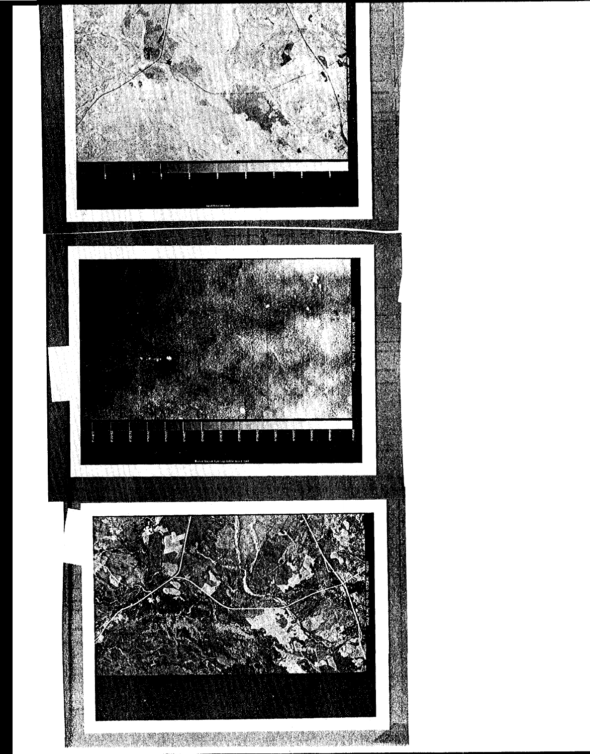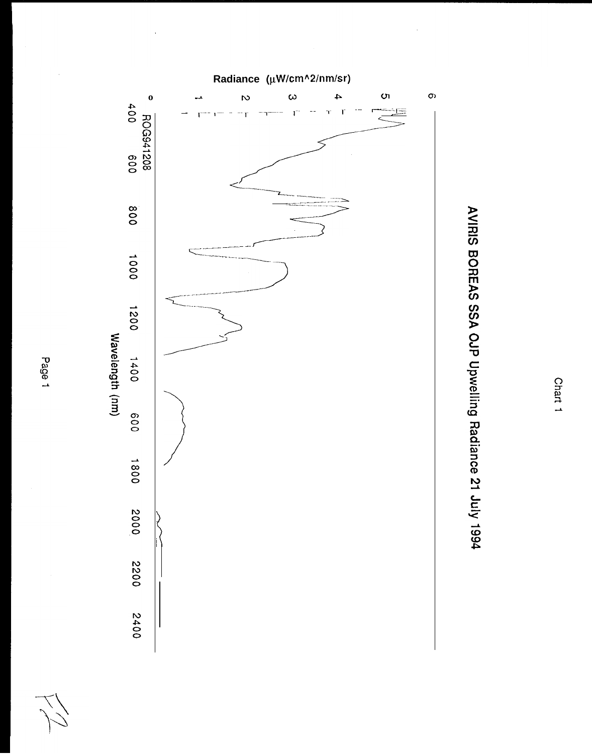

AVIRIS BOREAS SSA OJP Upwelling Radiance 21 July 1994

Chart 1

Page 1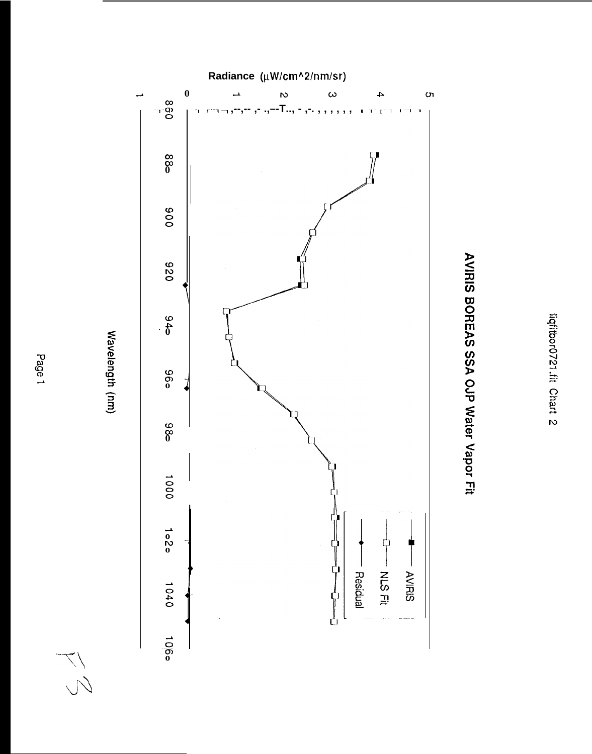



liqfitbor0721.fit Chart 2

Wavelength (nm)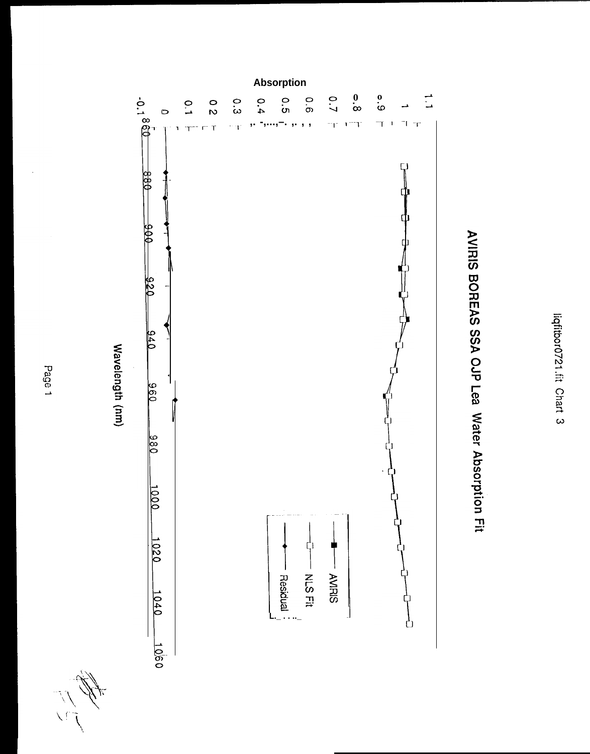liqfitbor0721.fit Chart 3



AVIRIS BOREAS SSA OJP Lea Water Absorption Fit

Wavelength (nm)